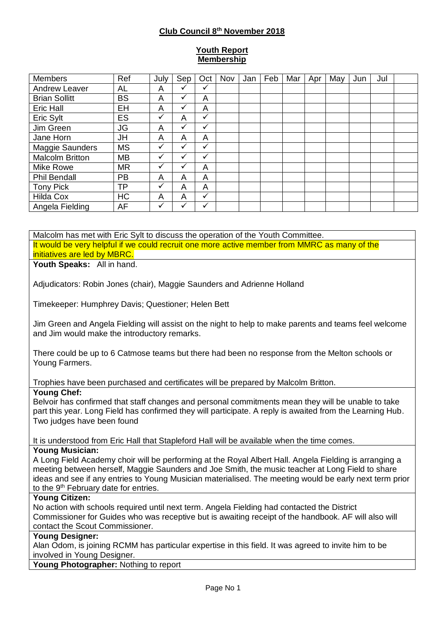# **Club Council 8th November 2018**

### **Youth Report Membership**

| <b>Members</b>         | Ref       | July | Sep | Oct | Nov | Jan | Feb | Mar | Apr | May | Jun | Jul |  |
|------------------------|-----------|------|-----|-----|-----|-----|-----|-----|-----|-----|-----|-----|--|
| <b>Andrew Leaver</b>   | AL        | A    | ✓   | ✓   |     |     |     |     |     |     |     |     |  |
| <b>Brian Sollitt</b>   | <b>BS</b> | Α    | ✓   | A   |     |     |     |     |     |     |     |     |  |
| Eric Hall              | EН        | Α    | ✓   | A   |     |     |     |     |     |     |     |     |  |
| Eric Sylt              | ES        | ✓    | A   | ✓   |     |     |     |     |     |     |     |     |  |
| Jim Green              | <b>JG</b> | A    | ✓   | ✓   |     |     |     |     |     |     |     |     |  |
| Jane Horn              | JH        | Α    | A   | A   |     |     |     |     |     |     |     |     |  |
| <b>Maggie Saunders</b> | <b>MS</b> | ✓    | ✓   | ✓   |     |     |     |     |     |     |     |     |  |
| <b>Malcolm Britton</b> | <b>MB</b> |      |     | ✓   |     |     |     |     |     |     |     |     |  |
| Mike Rowe              | <b>MR</b> |      | ✓   | A   |     |     |     |     |     |     |     |     |  |
| <b>Phil Bendall</b>    | <b>PB</b> | Α    | A   | A   |     |     |     |     |     |     |     |     |  |
| Tony Pick              | ТP        | ✔    | A   | A   |     |     |     |     |     |     |     |     |  |
| <b>Hilda Cox</b>       | <b>HC</b> | Α    | A   | ✓   |     |     |     |     |     |     |     |     |  |
| Angela Fielding        | AF        |      |     | ✓   |     |     |     |     |     |     |     |     |  |

Malcolm has met with Eric Sylt to discuss the operation of the Youth Committee. It would be very helpful if we could recruit one more active member from MMRC as many of the initiatives are led by MBRC.

**Youth Speaks:** All in hand.

Adjudicators: Robin Jones (chair), Maggie Saunders and Adrienne Holland

Timekeeper: Humphrey Davis; Questioner; Helen Bett

Jim Green and Angela Fielding will assist on the night to help to make parents and teams feel welcome and Jim would make the introductory remarks.

There could be up to 6 Catmose teams but there had been no response from the Melton schools or Young Farmers.

Trophies have been purchased and certificates will be prepared by Malcolm Britton.

#### **Young Chef:**

Belvoir has confirmed that staff changes and personal commitments mean they will be unable to take part this year. Long Field has confirmed they will participate. A reply is awaited from the Learning Hub. Two judges have been found

It is understood from Eric Hall that Stapleford Hall will be available when the time comes.

#### **Young Musician:**

A Long Field Academy choir will be performing at the Royal Albert Hall. Angela Fielding is arranging a meeting between herself, Maggie Saunders and Joe Smith, the music teacher at Long Field to share ideas and see if any entries to Young Musician materialised. The meeting would be early next term prior to the 9<sup>th</sup> February date for entries.

#### **Young Citizen:**

No action with schools required until next term. Angela Fielding had contacted the District Commissioner for Guides who was receptive but is awaiting receipt of the handbook. AF will also will contact the Scout Commissioner.

## **Young Designer:**

Alan Odom, is joining RCMM has particular expertise in this field. It was agreed to invite him to be involved in Young Designer.

**Young Photographer:** Nothing to report